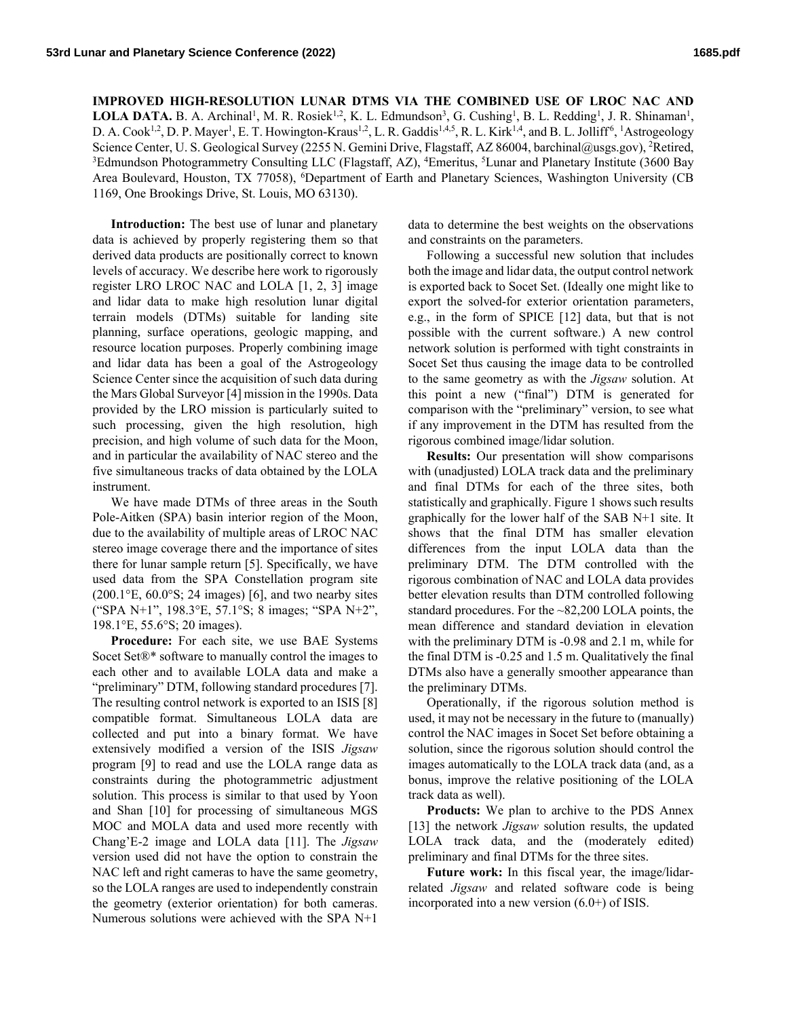**IMPROVED HIGH-RESOLUTION LUNAR DTMS VIA THE COMBINED USE OF LROC NAC AND**  LOLA DATA. B. A. Archinal<sup>1</sup>, M. R. Rosiek<sup>1,2</sup>, K. L. Edmundson<sup>3</sup>, G. Cushing<sup>1</sup>, B. L. Redding<sup>1</sup>, J. R. Shinaman<sup>1</sup>, D. A. Cook<sup>1,2</sup>, D. P. Mayer<sup>1</sup>, E. T. Howington-Kraus<sup>1,2</sup>, L. R. Gaddis<sup>1,4,5</sup>, R. L. Kirk<sup>1,4</sup>, and B. L. Jolliff<sup>6</sup>, <sup>1</sup>Astrogeology Science Center, U. S. Geological Survey (2255 N. Gemini Drive, Flagstaff, AZ 86004, barchinal@usgs.gov), <sup>2</sup>Retired, <sup>3</sup>Edmundson Photogrammetry Consulting LLC (Flagstaff, AZ), <sup>4</sup>Emeritus, <sup>5</sup>Lunar and Planetary Institute (3600 Bay Area Boulevard, Houston, TX 77058), <sup>6</sup>Department of Earth and Planetary Sciences, Washington University (CB 1169, One Brookings Drive, St. Louis, MO 63130).

**Introduction:** The best use of lunar and planetary data is achieved by properly registering them so that derived data products are positionally correct to known levels of accuracy. We describe here work to rigorously register LRO LROC NAC and LOLA [1, 2, 3] image and lidar data to make high resolution lunar digital terrain models (DTMs) suitable for landing site planning, surface operations, geologic mapping, and resource location purposes. Properly combining image and lidar data has been a goal of the Astrogeology Science Center since the acquisition of such data during the Mars Global Surveyor [4] mission in the 1990s. Data provided by the LRO mission is particularly suited to such processing, given the high resolution, high precision, and high volume of such data for the Moon, and in particular the availability of NAC stereo and the five simultaneous tracks of data obtained by the LOLA instrument.

We have made DTMs of three areas in the South Pole-Aitken (SPA) basin interior region of the Moon, due to the availability of multiple areas of LROC NAC stereo image coverage there and the importance of sites there for lunar sample return [5]. Specifically, we have used data from the SPA Constellation program site  $(200.1\textdegree E, 60.0\textdegree S; 24 \text{ images})$  [6], and two nearby sites ("SPA N+1", 198.3°E, 57.1°S; 8 images; "SPA N+2", 198.1°E, 55.6°S; 20 images).

**Procedure:** For each site, we use BAE Systems Socet Set®\* software to manually control the images to each other and to available LOLA data and make a "preliminary" DTM, following standard procedures [7]. The resulting control network is exported to an ISIS [8] compatible format. Simultaneous LOLA data are collected and put into a binary format. We have extensively modified a version of the ISIS *Jigsaw* program [9] to read and use the LOLA range data as constraints during the photogrammetric adjustment solution. This process is similar to that used by Yoon and Shan [10] for processing of simultaneous MGS MOC and MOLA data and used more recently with Chang'E-2 image and LOLA data [11]. The *Jigsaw* version used did not have the option to constrain the NAC left and right cameras to have the same geometry, so the LOLA ranges are used to independently constrain the geometry (exterior orientation) for both cameras. Numerous solutions were achieved with the SPA N+1

data to determine the best weights on the observations and constraints on the parameters.

Following a successful new solution that includes both the image and lidar data, the output control network is exported back to Socet Set. (Ideally one might like to export the solved-for exterior orientation parameters, e.g., in the form of SPICE [12] data, but that is not possible with the current software.) A new control network solution is performed with tight constraints in Socet Set thus causing the image data to be controlled to the same geometry as with the *Jigsaw* solution. At this point a new ("final") DTM is generated for comparison with the "preliminary" version, to see what if any improvement in the DTM has resulted from the rigorous combined image/lidar solution.

**Results:** Our presentation will show comparisons with (unadjusted) LOLA track data and the preliminary and final DTMs for each of the three sites, both statistically and graphically. Figure 1 shows such results graphically for the lower half of the SAB N+1 site. It shows that the final DTM has smaller elevation differences from the input LOLA data than the preliminary DTM. The DTM controlled with the rigorous combination of NAC and LOLA data provides better elevation results than DTM controlled following standard procedures. For the ~82,200 LOLA points, the mean difference and standard deviation in elevation with the preliminary DTM is -0.98 and 2.1 m, while for the final DTM is -0.25 and 1.5 m. Qualitatively the final DTMs also have a generally smoother appearance than the preliminary DTMs.

Operationally, if the rigorous solution method is used, it may not be necessary in the future to (manually) control the NAC images in Socet Set before obtaining a solution, since the rigorous solution should control the images automatically to the LOLA track data (and, as a bonus, improve the relative positioning of the LOLA track data as well).

**Products:** We plan to archive to the PDS Annex [13] the network *Jigsaw* solution results, the updated LOLA track data, and the (moderately edited) preliminary and final DTMs for the three sites.

**Future work:** In this fiscal year, the image/lidarrelated *Jigsaw* and related software code is being incorporated into a new version (6.0+) of ISIS.